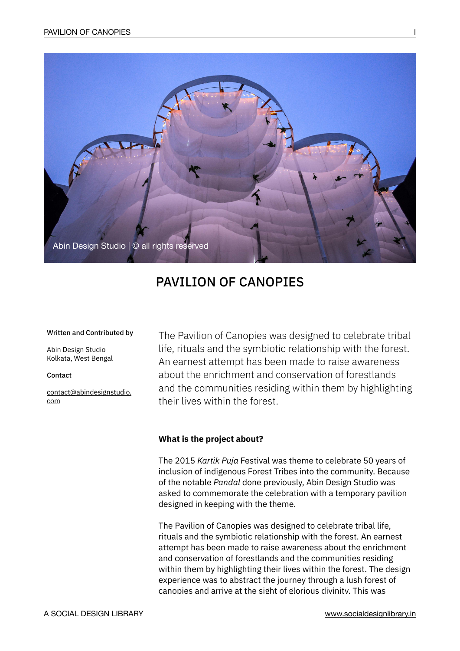

# PAVILION OF CANOPIES

#### Written and Contributed by

[Abin Design Studio](http://www.abindesignstudio.com/) Kolkata, West Bengal

Contact

[contact@abindesignstudio.](mailto:contact@abindesignstudio.com) [com](mailto:contact@abindesignstudio.com)

The Pavilion of Canopies was designed to celebrate tribal life, rituals and the symbiotic relationship with the forest. An earnest attempt has been made to raise awareness about the enrichment and conservation of forestlands and the communities residing within them by highlighting their lives within the forest.

## **What is the project about?**

The 2015 *Kartik Puja* Festival was theme to celebrate 50 years of inclusion of indigenous Forest Tribes into the community. Because of the notable *Pandal* done previously, Abin Design Studio was asked to commemorate the celebration with a temporary pavilion designed in keeping with the theme.

The Pavilion of Canopies was designed to celebrate tribal life, rituals and the symbiotic relationship with the forest. An earnest attempt has been made to raise awareness about the enrichment and conservation of forestlands and the communities residing within them by highlighting their lives within the forest. The design experience was to abstract the journey through a lush forest of canopies and arrive at the sight of glorious divinity. This was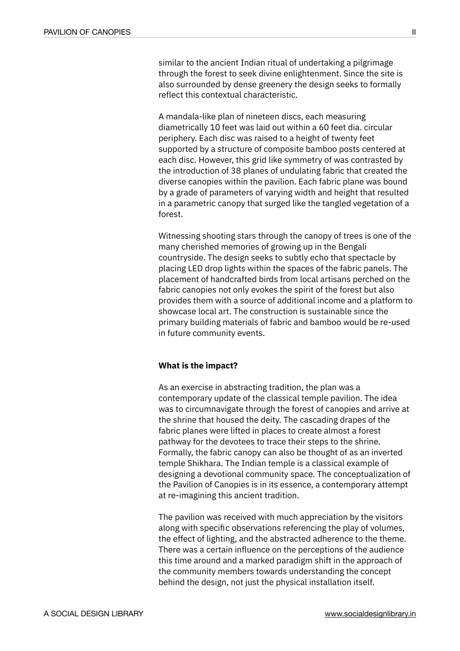similar to the ancient Indian ritual of undertaking a pilgrimage through the forest to seek divine enlightenment. Since the site is also surrounded by dense greenery the design seeks to formally reflect this contextual characteristic.

A mandala-like plan of nineteen discs, each measuring diametrically 10 feet was laid out within a 60 feet dia. circular periphery. Each disc was raised to a height of twenty feet supported by a structure of composite bamboo posts centered at each disc. However, this grid like symmetry of was contrasted by the introduction of 38 planes of undulating fabric that created the diverse canopies within the pavilion. Each fabric plane was bound by a grade of parameters of varying width and height that resulted in a parametric canopy that surged like the tangled vegetation of a forest.

Witnessing shooting stars through the canopy of trees is one of the many cherished memories of growing up in the Bengali countryside. The design seeks to subtly echo that spectacle by placing LED drop lights within the spaces of the fabric panels. The placement of handcrafted birds from local artisans perched on the fabric canopies not only evokes the spirit of the forest but also provides them with a source of additional income and a platform to showcase local art. The construction is sustainable since the primary building materials of fabric and bamboo would be re-used in future community events.

#### **What is the impact?**

As an exercise in abstracting tradition, the plan was a contemporary update of the classical temple pavilion. The idea was to circumnavigate through the forest of canopies and arrive at the shrine that housed the deity. The cascading drapes of the fabric planes were lifted in places to create almost a forest pathway for the devotees to trace their steps to the shrine. Formally, the fabric canopy can also be thought of as an inverted temple Shikhara. The Indian temple is a classical example of designing a devotional community space. The conceptualization of the Pavilion of Canopies is in its essence, a contemporary attempt at re-imagining this ancient tradition.

The pavilion was received with much appreciation by the visitors along with specific observations referencing the play of volumes, the effect of lighting, and the abstracted adherence to the theme. There was a certain influence on the perceptions of the audience this time around and a marked paradigm shift in the approach of the community members towards understanding the concept behind the design, not just the physical installation itself.